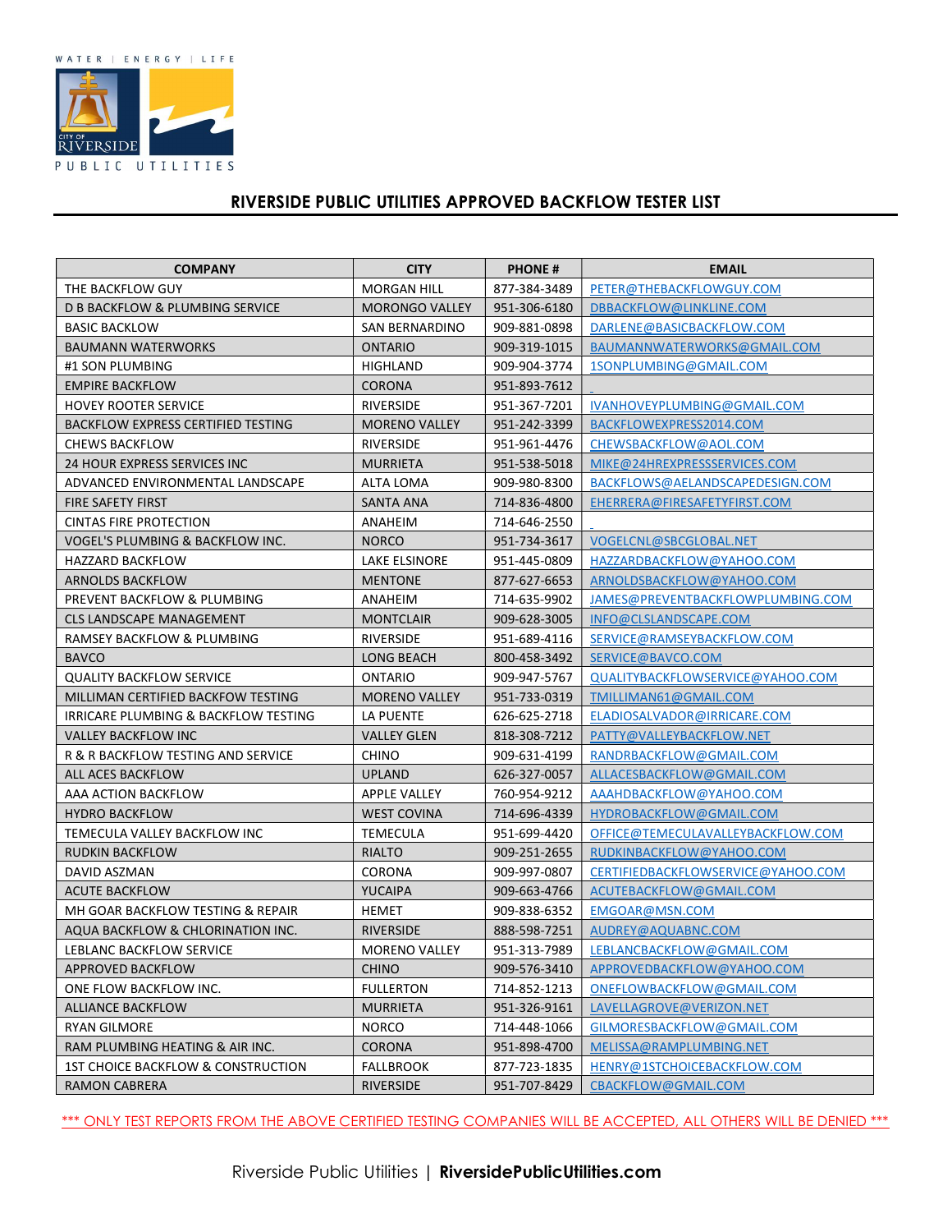

## RIVERSIDE PUBLIC UTILITIES APPROVED BACKFLOW TESTER LIST

| <b>COMPANY</b>                             | <b>CITY</b>           | <b>PHONE#</b> | <b>EMAIL</b>                       |
|--------------------------------------------|-----------------------|---------------|------------------------------------|
| THE BACKFLOW GUY                           | <b>MORGAN HILL</b>    | 877-384-3489  | PETER@THEBACKFLOWGUY.COM           |
| <b>D B BACKFLOW &amp; PLUMBING SERVICE</b> | <b>MORONGO VALLEY</b> | 951-306-6180  | DBBACKFLOW@LINKLINE.COM            |
| <b>BASIC BACKLOW</b>                       | <b>SAN BERNARDINO</b> | 909-881-0898  | DARLENE@BASICBACKFLOW.COM          |
| <b>BAUMANN WATERWORKS</b>                  | <b>ONTARIO</b>        | 909-319-1015  | BAUMANNWATERWORKS@GMAIL.COM        |
| #1 SON PLUMBING                            | HIGHLAND              | 909-904-3774  | 1SONPLUMBING@GMAIL.COM             |
| <b>EMPIRE BACKFLOW</b>                     | <b>CORONA</b>         | 951-893-7612  |                                    |
| <b>HOVEY ROOTER SERVICE</b>                | RIVERSIDE             | 951-367-7201  | IVANHOVEYPLUMBING@GMAIL.COM        |
| <b>BACKFLOW EXPRESS CERTIFIED TESTING</b>  | <b>MORENO VALLEY</b>  | 951-242-3399  | BACKFLOWEXPRESS2014.COM            |
| <b>CHEWS BACKFLOW</b>                      | <b>RIVERSIDE</b>      | 951-961-4476  | CHEWSBACKFLOW@AOL.COM              |
| 24 HOUR EXPRESS SERVICES INC               | <b>MURRIETA</b>       | 951-538-5018  | MIKE@24HREXPRESSSERVICES.COM       |
| ADVANCED ENVIRONMENTAL LANDSCAPE           | ALTA LOMA             | 909-980-8300  | BACKFLOWS@AELANDSCAPEDESIGN.COM    |
| FIRE SAFETY FIRST                          | SANTA ANA             | 714-836-4800  | EHERRERA@FIRESAFETYFIRST.COM       |
| CINTAS FIRE PROTECTION                     | ANAHEIM               | 714-646-2550  |                                    |
| VOGEL'S PLUMBING & BACKFLOW INC.           | <b>NORCO</b>          | 951-734-3617  | VOGELCNL@SBCGLOBAL.NET             |
| <b>HAZZARD BACKFLOW</b>                    | <b>LAKE ELSINORE</b>  | 951-445-0809  | HAZZARDBACKFLOW@YAHOO.COM          |
| ARNOLDS BACKFLOW                           | <b>MENTONE</b>        | 877-627-6653  | ARNOLDSBACKFLOW@YAHOO.COM          |
| PREVENT BACKFLOW & PLUMBING                | ANAHEIM               | 714-635-9902  | JAMES@PREVENTBACKFLOWPLUMBING.COM  |
| <b>CLS LANDSCAPE MANAGEMENT</b>            | <b>MONTCLAIR</b>      | 909-628-3005  | INFO@CLSLANDSCAPE.COM              |
| RAMSEY BACKFLOW & PLUMBING                 | RIVERSIDE             | 951-689-4116  | SERVICE@RAMSEYBACKFLOW.COM         |
| <b>BAVCO</b>                               | LONG BEACH            | 800-458-3492  | SERVICE@BAVCO.COM                  |
| <b>QUALITY BACKFLOW SERVICE</b>            | <b>ONTARIO</b>        | 909-947-5767  | QUALITYBACKFLOWSERVICE@YAHOO.COM   |
| MILLIMAN CERTIFIED BACKFOW TESTING         | <b>MORENO VALLEY</b>  | 951-733-0319  | TMILLIMAN61@GMAIL.COM              |
| IRRICARE PLUMBING & BACKFLOW TESTING       | LA PUENTE             | 626-625-2718  | ELADIOSALVADOR@IRRICARE.COM        |
| <b>VALLEY BACKFLOW INC</b>                 | <b>VALLEY GLEN</b>    | 818-308-7212  | PATTY@VALLEYBACKFLOW.NET           |
| R & R BACKFLOW TESTING AND SERVICE         | <b>CHINO</b>          | 909-631-4199  | RANDRBACKFLOW@GMAIL.COM            |
| ALL ACES BACKFLOW                          | <b>UPLAND</b>         | 626-327-0057  | ALLACESBACKFLOW@GMAIL.COM          |
| AAA ACTION BACKFLOW                        | <b>APPLE VALLEY</b>   | 760-954-9212  | AAAHDBACKFLOW@YAHOO.COM            |
| <b>HYDRO BACKFLOW</b>                      | <b>WEST COVINA</b>    | 714-696-4339  | HYDROBACKFLOW@GMAIL.COM            |
| TEMECULA VALLEY BACKFLOW INC               | TEMECULA              | 951-699-4420  | OFFICE@TEMECULAVALLEYBACKFLOW.COM  |
| <b>RUDKIN BACKFLOW</b>                     | <b>RIALTO</b>         | 909-251-2655  | RUDKINBACKFLOW@YAHOO.COM           |
| DAVID ASZMAN                               | <b>CORONA</b>         | 909-997-0807  | CERTIFIEDBACKFLOWSERVICE@YAHOO.COM |
| <b>ACUTE BACKFLOW</b>                      | <b>YUCAIPA</b>        | 909-663-4766  | ACUTEBACKFLOW@GMAIL.COM            |
| MH GOAR BACKFLOW TESTING & REPAIR          | HEMET                 | 909-838-6352  | EMGOAR@MSN.COM                     |
| AQUA BACKFLOW & CHLORINATION INC.          | <b>RIVERSIDE</b>      | 888-598-7251  | AUDREY@AQUABNC.COM                 |
| LEBLANC BACKFLOW SERVICE                   | <b>MORENO VALLEY</b>  | 951-313-7989  | LEBLANCBACKFLOW@GMAIL.COM          |
| APPROVED BACKFLOW                          | <b>CHINO</b>          | 909-576-3410  | APPROVEDBACKFLOW@YAHOO.COM         |
| ONE FLOW BACKFLOW INC.                     | <b>FULLERTON</b>      | 714-852-1213  | ONEFLOWBACKFLOW@GMAIL.COM          |
| ALLIANCE BACKFLOW                          | <b>MURRIETA</b>       | 951-326-9161  | LAVELLAGROVE@VERIZON.NET           |
| <b>RYAN GILMORE</b>                        | <b>NORCO</b>          | 714-448-1066  | GILMORESBACKFLOW@GMAIL.COM         |
| RAM PLUMBING HEATING & AIR INC.            | <b>CORONA</b>         | 951-898-4700  | MELISSA@RAMPLUMBING.NET            |
| 1ST CHOICE BACKFLOW & CONSTRUCTION         | <b>FALLBROOK</b>      | 877-723-1835  | HENRY@1STCHOICEBACKFLOW.COM        |
| <b>RAMON CABRERA</b>                       | RIVERSIDE             | 951-707-8429  | CBACKFLOW@GMAIL.COM                |

\*\*\* ONLY TEST REPORTS FROM THE ABOVE CERTIFIED TESTING COMPANIES WILL BE ACCEPTED, ALL OTHERS WILL BE DENIED \*\*\*